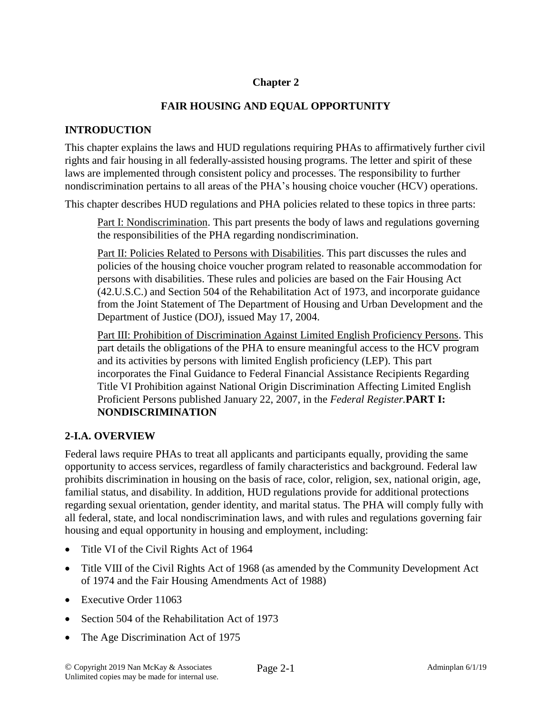## **Chapter 2**

### **FAIR HOUSING AND EQUAL OPPORTUNITY**

#### **INTRODUCTION**

This chapter explains the laws and HUD regulations requiring PHAs to affirmatively further civil rights and fair housing in all federally-assisted housing programs. The letter and spirit of these laws are implemented through consistent policy and processes. The responsibility to further nondiscrimination pertains to all areas of the PHA's housing choice voucher (HCV) operations.

This chapter describes HUD regulations and PHA policies related to these topics in three parts:

Part I: Nondiscrimination. This part presents the body of laws and regulations governing the responsibilities of the PHA regarding nondiscrimination.

Part II: Policies Related to Persons with Disabilities. This part discusses the rules and policies of the housing choice voucher program related to reasonable accommodation for persons with disabilities. These rules and policies are based on the Fair Housing Act (42.U.S.C.) and Section 504 of the Rehabilitation Act of 1973, and incorporate guidance from the Joint Statement of The Department of Housing and Urban Development and the Department of Justice (DOJ), issued May 17, 2004.

Part III: Prohibition of Discrimination Against Limited English Proficiency Persons. This part details the obligations of the PHA to ensure meaningful access to the HCV program and its activities by persons with limited English proficiency (LEP). This part incorporates the Final Guidance to Federal Financial Assistance Recipients Regarding Title VI Prohibition against National Origin Discrimination Affecting Limited English Proficient Persons published January 22, 2007, in the *Federal Register.***PART I: NONDISCRIMINATION**

### **2-I.A. OVERVIEW**

Federal laws require PHAs to treat all applicants and participants equally, providing the same opportunity to access services, regardless of family characteristics and background. Federal law prohibits discrimination in housing on the basis of race, color, religion, sex, national origin, age, familial status, and disability. In addition, HUD regulations provide for additional protections regarding sexual orientation, gender identity, and marital status. The PHA will comply fully with all federal, state, and local nondiscrimination laws, and with rules and regulations governing fair housing and equal opportunity in housing and employment, including:

- Title VI of the Civil Rights Act of 1964
- Title VIII of the Civil Rights Act of 1968 (as amended by the Community Development Act of 1974 and the Fair Housing Amendments Act of 1988)
- Executive Order 11063
- Section 504 of the Rehabilitation Act of 1973
- The Age Discrimination Act of 1975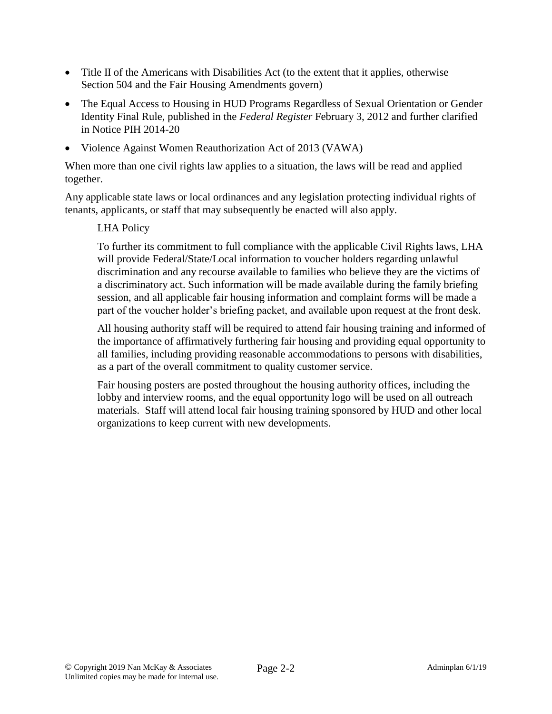- Title II of the Americans with Disabilities Act (to the extent that it applies, otherwise Section 504 and the Fair Housing Amendments govern)
- The Equal Access to Housing in HUD Programs Regardless of Sexual Orientation or Gender Identity Final Rule, published in the *Federal Register* February 3, 2012 and further clarified in Notice PIH 2014-20
- Violence Against Women Reauthorization Act of 2013 (VAWA)

When more than one civil rights law applies to a situation, the laws will be read and applied together.

Any applicable state laws or local ordinances and any legislation protecting individual rights of tenants, applicants, or staff that may subsequently be enacted will also apply.

### LHA Policy

To further its commitment to full compliance with the applicable Civil Rights laws, LHA will provide Federal/State/Local information to voucher holders regarding unlawful discrimination and any recourse available to families who believe they are the victims of a discriminatory act. Such information will be made available during the family briefing session, and all applicable fair housing information and complaint forms will be made a part of the voucher holder's briefing packet, and available upon request at the front desk.

All housing authority staff will be required to attend fair housing training and informed of the importance of affirmatively furthering fair housing and providing equal opportunity to all families, including providing reasonable accommodations to persons with disabilities, as a part of the overall commitment to quality customer service.

Fair housing posters are posted throughout the housing authority offices, including the lobby and interview rooms, and the equal opportunity logo will be used on all outreach materials. Staff will attend local fair housing training sponsored by HUD and other local organizations to keep current with new developments.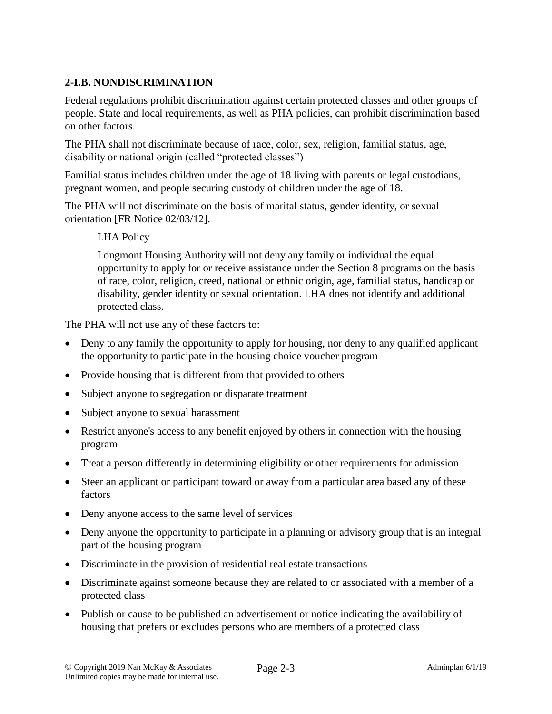## **2-I.B. NONDISCRIMINATION**

Federal regulations prohibit discrimination against certain protected classes and other groups of people. State and local requirements, as well as PHA policies, can prohibit discrimination based on other factors.

The PHA shall not discriminate because of race, color, sex, religion, familial status, age, disability or national origin (called "protected classes")

Familial status includes children under the age of 18 living with parents or legal custodians, pregnant women, and people securing custody of children under the age of 18.

The PHA will not discriminate on the basis of marital status, gender identity, or sexual orientation [FR Notice 02/03/12].

#### LHA Policy

Longmont Housing Authority will not deny any family or individual the equal opportunity to apply for or receive assistance under the Section 8 programs on the basis of race, color, religion, creed, national or ethnic origin, age, familial status, handicap or disability, gender identity or sexual orientation. LHA does not identify and additional protected class.

The PHA will not use any of these factors to:

- Deny to any family the opportunity to apply for housing, nor deny to any qualified applicant the opportunity to participate in the housing choice voucher program
- Provide housing that is different from that provided to others
- Subject anyone to segregation or disparate treatment
- Subject anyone to sexual harassment
- Restrict anyone's access to any benefit enjoyed by others in connection with the housing program
- Treat a person differently in determining eligibility or other requirements for admission
- Steer an applicant or participant toward or away from a particular area based any of these factors
- Deny anyone access to the same level of services
- Deny anyone the opportunity to participate in a planning or advisory group that is an integral part of the housing program
- Discriminate in the provision of residential real estate transactions
- Discriminate against someone because they are related to or associated with a member of a protected class
- Publish or cause to be published an advertisement or notice indicating the availability of housing that prefers or excludes persons who are members of a protected class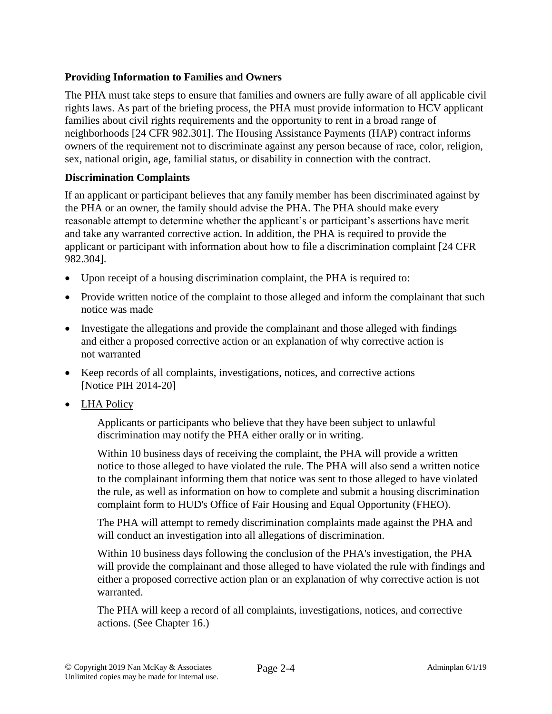### **Providing Information to Families and Owners**

The PHA must take steps to ensure that families and owners are fully aware of all applicable civil rights laws. As part of the briefing process, the PHA must provide information to HCV applicant families about civil rights requirements and the opportunity to rent in a broad range of neighborhoods [24 CFR 982.301]. The Housing Assistance Payments (HAP) contract informs owners of the requirement not to discriminate against any person because of race, color, religion, sex, national origin, age, familial status, or disability in connection with the contract.

### **Discrimination Complaints**

If an applicant or participant believes that any family member has been discriminated against by the PHA or an owner, the family should advise the PHA. The PHA should make every reasonable attempt to determine whether the applicant's or participant's assertions have merit and take any warranted corrective action. In addition, the PHA is required to provide the applicant or participant with information about how to file a discrimination complaint [24 CFR 982.304].

- Upon receipt of a housing discrimination complaint, the PHA is required to:
- Provide written notice of the complaint to those alleged and inform the complainant that such notice was made
- Investigate the allegations and provide the complainant and those alleged with findings and either a proposed corrective action or an explanation of why corrective action is not warranted
- Keep records of all complaints, investigations, notices, and corrective actions [Notice PIH 2014-20]
- LHA Policy

Applicants or participants who believe that they have been subject to unlawful discrimination may notify the PHA either orally or in writing.

Within 10 business days of receiving the complaint, the PHA will provide a written notice to those alleged to have violated the rule. The PHA will also send a written notice to the complainant informing them that notice was sent to those alleged to have violated the rule, as well as information on how to complete and submit a housing discrimination complaint form to HUD's Office of Fair Housing and Equal Opportunity (FHEO).

The PHA will attempt to remedy discrimination complaints made against the PHA and will conduct an investigation into all allegations of discrimination.

Within 10 business days following the conclusion of the PHA's investigation, the PHA will provide the complainant and those alleged to have violated the rule with findings and either a proposed corrective action plan or an explanation of why corrective action is not warranted.

The PHA will keep a record of all complaints, investigations, notices, and corrective actions. (See Chapter 16.)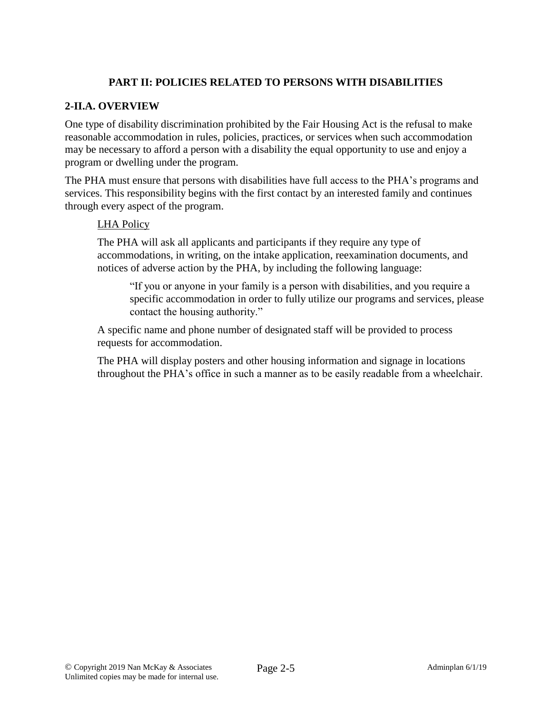## **PART II: POLICIES RELATED TO PERSONS WITH DISABILITIES**

### **2-II.A. OVERVIEW**

One type of disability discrimination prohibited by the Fair Housing Act is the refusal to make reasonable accommodation in rules, policies, practices, or services when such accommodation may be necessary to afford a person with a disability the equal opportunity to use and enjoy a program or dwelling under the program.

The PHA must ensure that persons with disabilities have full access to the PHA's programs and services. This responsibility begins with the first contact by an interested family and continues through every aspect of the program.

#### LHA Policy

The PHA will ask all applicants and participants if they require any type of accommodations, in writing, on the intake application, reexamination documents, and notices of adverse action by the PHA, by including the following language:

"If you or anyone in your family is a person with disabilities, and you require a specific accommodation in order to fully utilize our programs and services, please contact the housing authority."

A specific name and phone number of designated staff will be provided to process requests for accommodation.

The PHA will display posters and other housing information and signage in locations throughout the PHA's office in such a manner as to be easily readable from a wheelchair.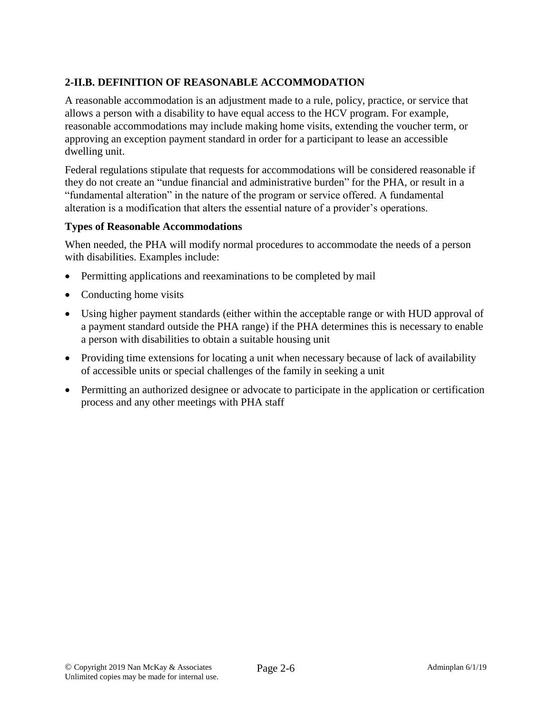# **2-II.B. DEFINITION OF REASONABLE ACCOMMODATION**

A reasonable accommodation is an adjustment made to a rule, policy, practice, or service that allows a person with a disability to have equal access to the HCV program. For example, reasonable accommodations may include making home visits, extending the voucher term, or approving an exception payment standard in order for a participant to lease an accessible dwelling unit.

Federal regulations stipulate that requests for accommodations will be considered reasonable if they do not create an "undue financial and administrative burden" for the PHA, or result in a "fundamental alteration" in the nature of the program or service offered. A fundamental alteration is a modification that alters the essential nature of a provider's operations.

### **Types of Reasonable Accommodations**

When needed, the PHA will modify normal procedures to accommodate the needs of a person with disabilities. Examples include:

- Permitting applications and reexaminations to be completed by mail
- Conducting home visits
- Using higher payment standards (either within the acceptable range or with HUD approval of a payment standard outside the PHA range) if the PHA determines this is necessary to enable a person with disabilities to obtain a suitable housing unit
- Providing time extensions for locating a unit when necessary because of lack of availability of accessible units or special challenges of the family in seeking a unit
- Permitting an authorized designee or advocate to participate in the application or certification process and any other meetings with PHA staff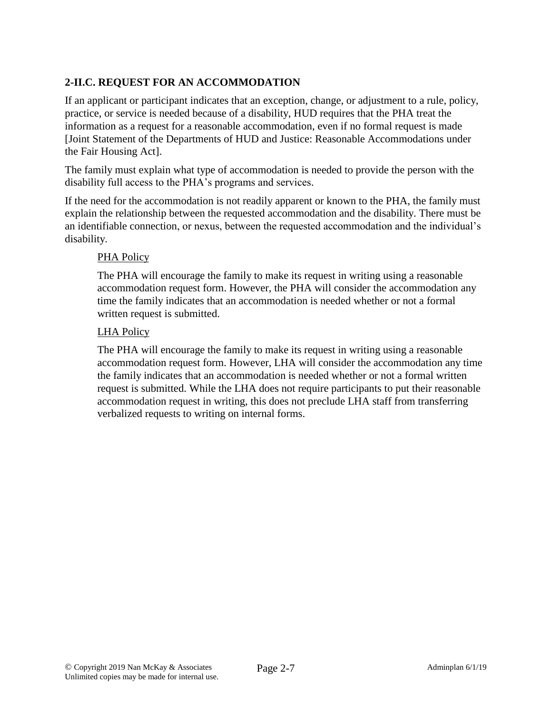# **2-II.C. REQUEST FOR AN ACCOMMODATION**

If an applicant or participant indicates that an exception, change, or adjustment to a rule, policy, practice, or service is needed because of a disability, HUD requires that the PHA treat the information as a request for a reasonable accommodation, even if no formal request is made [Joint Statement of the Departments of HUD and Justice: Reasonable Accommodations under the Fair Housing Act].

The family must explain what type of accommodation is needed to provide the person with the disability full access to the PHA's programs and services.

If the need for the accommodation is not readily apparent or known to the PHA, the family must explain the relationship between the requested accommodation and the disability. There must be an identifiable connection, or nexus, between the requested accommodation and the individual's disability.

### PHA Policy

The PHA will encourage the family to make its request in writing using a reasonable accommodation request form. However, the PHA will consider the accommodation any time the family indicates that an accommodation is needed whether or not a formal written request is submitted.

### LHA Policy

The PHA will encourage the family to make its request in writing using a reasonable accommodation request form. However, LHA will consider the accommodation any time the family indicates that an accommodation is needed whether or not a formal written request is submitted. While the LHA does not require participants to put their reasonable accommodation request in writing, this does not preclude LHA staff from transferring verbalized requests to writing on internal forms.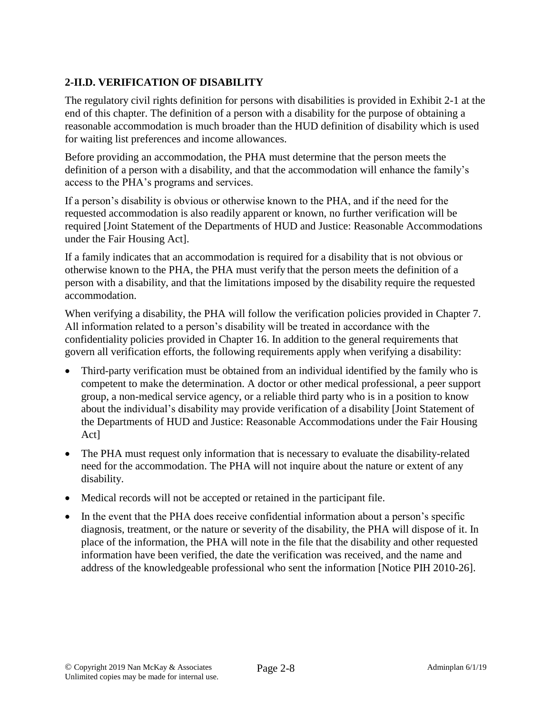# **2-II.D. VERIFICATION OF DISABILITY**

The regulatory civil rights definition for persons with disabilities is provided in Exhibit 2-1 at the end of this chapter. The definition of a person with a disability for the purpose of obtaining a reasonable accommodation is much broader than the HUD definition of disability which is used for waiting list preferences and income allowances.

Before providing an accommodation, the PHA must determine that the person meets the definition of a person with a disability, and that the accommodation will enhance the family's access to the PHA's programs and services.

If a person's disability is obvious or otherwise known to the PHA, and if the need for the requested accommodation is also readily apparent or known, no further verification will be required [Joint Statement of the Departments of HUD and Justice: Reasonable Accommodations under the Fair Housing Act].

If a family indicates that an accommodation is required for a disability that is not obvious or otherwise known to the PHA, the PHA must verify that the person meets the definition of a person with a disability, and that the limitations imposed by the disability require the requested accommodation.

When verifying a disability, the PHA will follow the verification policies provided in Chapter 7. All information related to a person's disability will be treated in accordance with the confidentiality policies provided in Chapter 16. In addition to the general requirements that govern all verification efforts, the following requirements apply when verifying a disability:

- Third-party verification must be obtained from an individual identified by the family who is competent to make the determination. A doctor or other medical professional, a peer support group, a non-medical service agency, or a reliable third party who is in a position to know about the individual's disability may provide verification of a disability [Joint Statement of the Departments of HUD and Justice: Reasonable Accommodations under the Fair Housing Act]
- The PHA must request only information that is necessary to evaluate the disability-related need for the accommodation. The PHA will not inquire about the nature or extent of any disability.
- Medical records will not be accepted or retained in the participant file.
- In the event that the PHA does receive confidential information about a person's specific diagnosis, treatment, or the nature or severity of the disability, the PHA will dispose of it. In place of the information, the PHA will note in the file that the disability and other requested information have been verified, the date the verification was received, and the name and address of the knowledgeable professional who sent the information [Notice PIH 2010-26].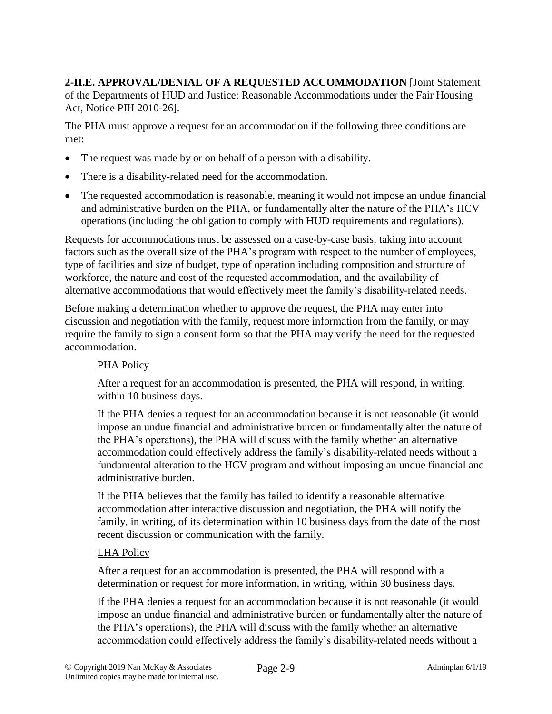**2-II.E. APPROVAL/DENIAL OF A REQUESTED ACCOMMODATION** [Joint Statement of the Departments of HUD and Justice: Reasonable Accommodations under the Fair Housing Act, Notice PIH 2010-26].

The PHA must approve a request for an accommodation if the following three conditions are met:

- The request was made by or on behalf of a person with a disability.
- There is a disability-related need for the accommodation.
- The requested accommodation is reasonable, meaning it would not impose an undue financial and administrative burden on the PHA, or fundamentally alter the nature of the PHA's HCV operations (including the obligation to comply with HUD requirements and regulations).

Requests for accommodations must be assessed on a case-by-case basis, taking into account factors such as the overall size of the PHA's program with respect to the number of employees, type of facilities and size of budget, type of operation including composition and structure of workforce, the nature and cost of the requested accommodation, and the availability of alternative accommodations that would effectively meet the family's disability-related needs.

Before making a determination whether to approve the request, the PHA may enter into discussion and negotiation with the family, request more information from the family, or may require the family to sign a consent form so that the PHA may verify the need for the requested accommodation.

#### PHA Policy

After a request for an accommodation is presented, the PHA will respond, in writing, within 10 business days.

If the PHA denies a request for an accommodation because it is not reasonable (it would impose an undue financial and administrative burden or fundamentally alter the nature of the PHA's operations), the PHA will discuss with the family whether an alternative accommodation could effectively address the family's disability-related needs without a fundamental alteration to the HCV program and without imposing an undue financial and administrative burden.

If the PHA believes that the family has failed to identify a reasonable alternative accommodation after interactive discussion and negotiation, the PHA will notify the family, in writing, of its determination within 10 business days from the date of the most recent discussion or communication with the family.

#### LHA Policy

After a request for an accommodation is presented, the PHA will respond with a determination or request for more information, in writing, within 30 business days.

If the PHA denies a request for an accommodation because it is not reasonable (it would impose an undue financial and administrative burden or fundamentally alter the nature of the PHA's operations), the PHA will discuss with the family whether an alternative accommodation could effectively address the family's disability-related needs without a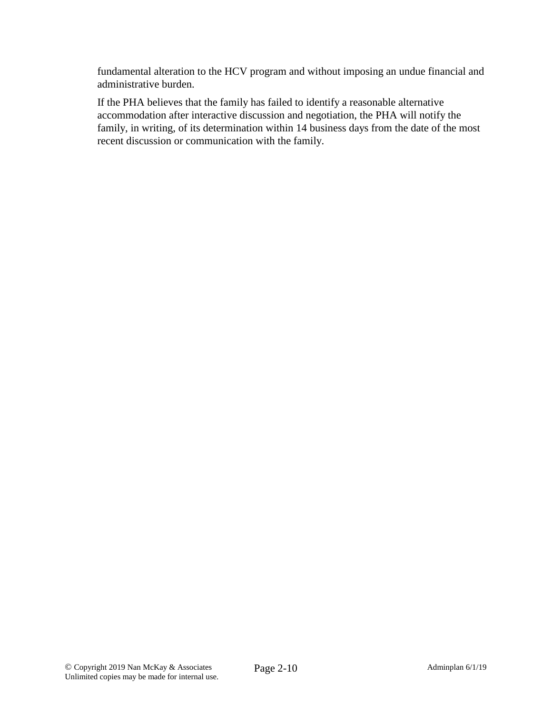fundamental alteration to the HCV program and without imposing an undue financial and administrative burden.

If the PHA believes that the family has failed to identify a reasonable alternative accommodation after interactive discussion and negotiation, the PHA will notify the family, in writing, of its determination within 14 business days from the date of the most recent discussion or communication with the family.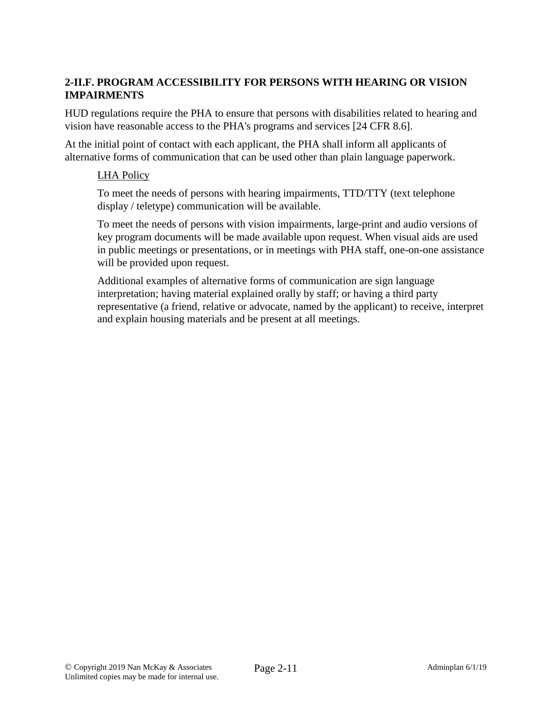## **2-II.F. PROGRAM ACCESSIBILITY FOR PERSONS WITH HEARING OR VISION IMPAIRMENTS**

HUD regulations require the PHA to ensure that persons with disabilities related to hearing and vision have reasonable access to the PHA's programs and services [24 CFR 8.6].

At the initial point of contact with each applicant, the PHA shall inform all applicants of alternative forms of communication that can be used other than plain language paperwork.

#### LHA Policy

To meet the needs of persons with hearing impairments, TTD/TTY (text telephone display / teletype) communication will be available.

To meet the needs of persons with vision impairments, large-print and audio versions of key program documents will be made available upon request. When visual aids are used in public meetings or presentations, or in meetings with PHA staff, one-on-one assistance will be provided upon request.

Additional examples of alternative forms of communication are sign language interpretation; having material explained orally by staff; or having a third party representative (a friend, relative or advocate, named by the applicant) to receive, interpret and explain housing materials and be present at all meetings.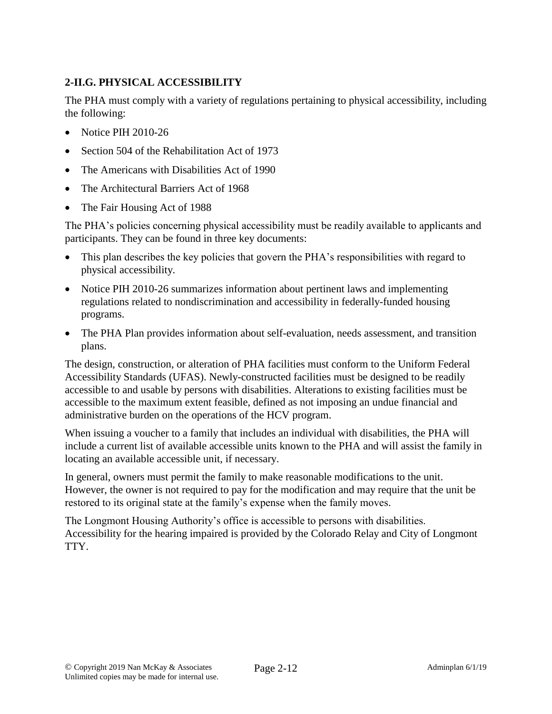# **2-II.G. PHYSICAL ACCESSIBILITY**

The PHA must comply with a variety of regulations pertaining to physical accessibility, including the following:

- Notice PIH 2010-26
- Section 504 of the Rehabilitation Act of 1973
- The Americans with Disabilities Act of 1990
- The Architectural Barriers Act of 1968
- The Fair Housing Act of 1988

The PHA's policies concerning physical accessibility must be readily available to applicants and participants. They can be found in three key documents:

- This plan describes the key policies that govern the PHA's responsibilities with regard to physical accessibility.
- Notice PIH 2010-26 summarizes information about pertinent laws and implementing regulations related to nondiscrimination and accessibility in federally-funded housing programs.
- The PHA Plan provides information about self-evaluation, needs assessment, and transition plans.

The design, construction, or alteration of PHA facilities must conform to the Uniform Federal Accessibility Standards (UFAS). Newly-constructed facilities must be designed to be readily accessible to and usable by persons with disabilities. Alterations to existing facilities must be accessible to the maximum extent feasible, defined as not imposing an undue financial and administrative burden on the operations of the HCV program.

When issuing a voucher to a family that includes an individual with disabilities, the PHA will include a current list of available accessible units known to the PHA and will assist the family in locating an available accessible unit, if necessary.

In general, owners must permit the family to make reasonable modifications to the unit. However, the owner is not required to pay for the modification and may require that the unit be restored to its original state at the family's expense when the family moves.

The Longmont Housing Authority's office is accessible to persons with disabilities. Accessibility for the hearing impaired is provided by the Colorado Relay and City of Longmont TTY.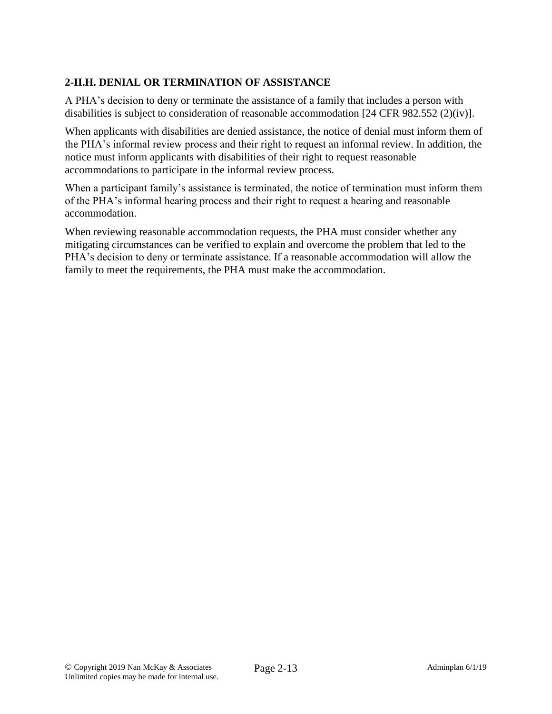# **2-II.H. DENIAL OR TERMINATION OF ASSISTANCE**

A PHA's decision to deny or terminate the assistance of a family that includes a person with disabilities is subject to consideration of reasonable accommodation [24 CFR 982.552 (2)(iv)].

When applicants with disabilities are denied assistance, the notice of denial must inform them of the PHA's informal review process and their right to request an informal review. In addition, the notice must inform applicants with disabilities of their right to request reasonable accommodations to participate in the informal review process.

When a participant family's assistance is terminated, the notice of termination must inform them of the PHA's informal hearing process and their right to request a hearing and reasonable accommodation.

When reviewing reasonable accommodation requests, the PHA must consider whether any mitigating circumstances can be verified to explain and overcome the problem that led to the PHA's decision to deny or terminate assistance. If a reasonable accommodation will allow the family to meet the requirements, the PHA must make the accommodation.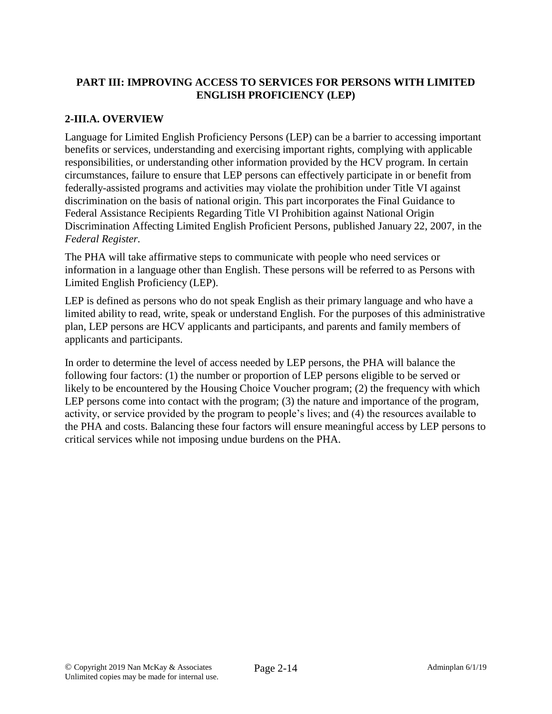## **PART III: IMPROVING ACCESS TO SERVICES FOR PERSONS WITH LIMITED ENGLISH PROFICIENCY (LEP)**

## **2-III.A. OVERVIEW**

Language for Limited English Proficiency Persons (LEP) can be a barrier to accessing important benefits or services, understanding and exercising important rights, complying with applicable responsibilities, or understanding other information provided by the HCV program. In certain circumstances, failure to ensure that LEP persons can effectively participate in or benefit from federally-assisted programs and activities may violate the prohibition under Title VI against discrimination on the basis of national origin. This part incorporates the Final Guidance to Federal Assistance Recipients Regarding Title VI Prohibition against National Origin Discrimination Affecting Limited English Proficient Persons, published January 22, 2007, in the *Federal Register.*

The PHA will take affirmative steps to communicate with people who need services or information in a language other than English. These persons will be referred to as Persons with Limited English Proficiency (LEP).

LEP is defined as persons who do not speak English as their primary language and who have a limited ability to read, write, speak or understand English. For the purposes of this administrative plan, LEP persons are HCV applicants and participants, and parents and family members of applicants and participants.

In order to determine the level of access needed by LEP persons, the PHA will balance the following four factors: (1) the number or proportion of LEP persons eligible to be served or likely to be encountered by the Housing Choice Voucher program; (2) the frequency with which LEP persons come into contact with the program; (3) the nature and importance of the program, activity, or service provided by the program to people's lives; and (4) the resources available to the PHA and costs. Balancing these four factors will ensure meaningful access by LEP persons to critical services while not imposing undue burdens on the PHA.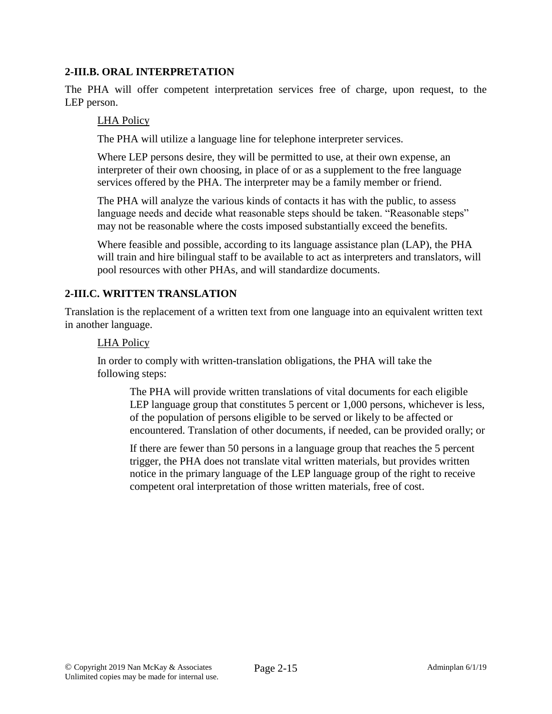### **2-III.B. ORAL INTERPRETATION**

The PHA will offer competent interpretation services free of charge, upon request, to the LEP person.

### LHA Policy

The PHA will utilize a language line for telephone interpreter services.

Where LEP persons desire, they will be permitted to use, at their own expense, an interpreter of their own choosing, in place of or as a supplement to the free language services offered by the PHA. The interpreter may be a family member or friend.

The PHA will analyze the various kinds of contacts it has with the public, to assess language needs and decide what reasonable steps should be taken. "Reasonable steps" may not be reasonable where the costs imposed substantially exceed the benefits.

Where feasible and possible, according to its language assistance plan (LAP), the PHA will train and hire bilingual staff to be available to act as interpreters and translators, will pool resources with other PHAs, and will standardize documents.

### **2-III.C. WRITTEN TRANSLATION**

Translation is the replacement of a written text from one language into an equivalent written text in another language.

### LHA Policy

In order to comply with written-translation obligations, the PHA will take the following steps:

The PHA will provide written translations of vital documents for each eligible LEP language group that constitutes 5 percent or 1,000 persons, whichever is less, of the population of persons eligible to be served or likely to be affected or encountered. Translation of other documents, if needed, can be provided orally; or

If there are fewer than 50 persons in a language group that reaches the 5 percent trigger, the PHA does not translate vital written materials, but provides written notice in the primary language of the LEP language group of the right to receive competent oral interpretation of those written materials, free of cost.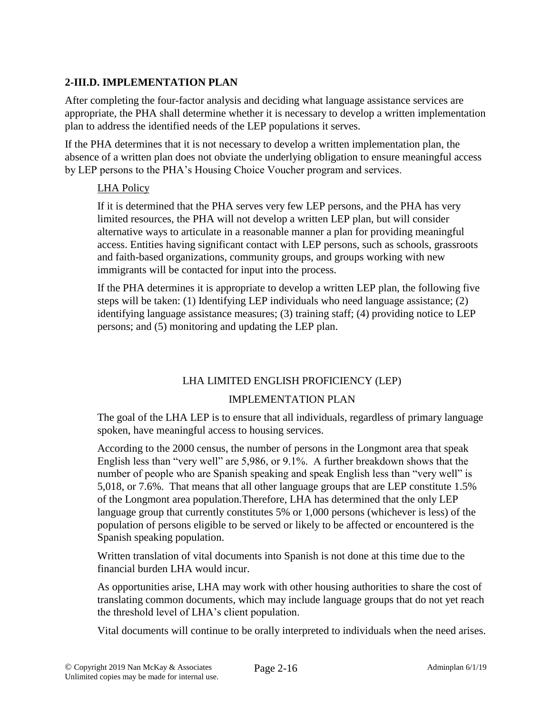## **2-III.D. IMPLEMENTATION PLAN**

After completing the four-factor analysis and deciding what language assistance services are appropriate, the PHA shall determine whether it is necessary to develop a written implementation plan to address the identified needs of the LEP populations it serves.

If the PHA determines that it is not necessary to develop a written implementation plan, the absence of a written plan does not obviate the underlying obligation to ensure meaningful access by LEP persons to the PHA's Housing Choice Voucher program and services.

### LHA Policy

If it is determined that the PHA serves very few LEP persons, and the PHA has very limited resources, the PHA will not develop a written LEP plan, but will consider alternative ways to articulate in a reasonable manner a plan for providing meaningful access. Entities having significant contact with LEP persons, such as schools, grassroots and faith-based organizations, community groups, and groups working with new immigrants will be contacted for input into the process.

If the PHA determines it is appropriate to develop a written LEP plan, the following five steps will be taken: (1) Identifying LEP individuals who need language assistance; (2) identifying language assistance measures; (3) training staff; (4) providing notice to LEP persons; and (5) monitoring and updating the LEP plan.

## LHA LIMITED ENGLISH PROFICIENCY (LEP)

### IMPLEMENTATION PLAN

The goal of the LHA LEP is to ensure that all individuals, regardless of primary language spoken, have meaningful access to housing services.

According to the 2000 census, the number of persons in the Longmont area that speak English less than "very well" are 5,986, or 9.1%. A further breakdown shows that the number of people who are Spanish speaking and speak English less than "very well" is 5,018, or 7.6%. That means that all other language groups that are LEP constitute 1.5% of the Longmont area population.Therefore, LHA has determined that the only LEP language group that currently constitutes 5% or 1,000 persons (whichever is less) of the population of persons eligible to be served or likely to be affected or encountered is the Spanish speaking population.

Written translation of vital documents into Spanish is not done at this time due to the financial burden LHA would incur.

As opportunities arise, LHA may work with other housing authorities to share the cost of translating common documents, which may include language groups that do not yet reach the threshold level of LHA's client population.

Vital documents will continue to be orally interpreted to individuals when the need arises.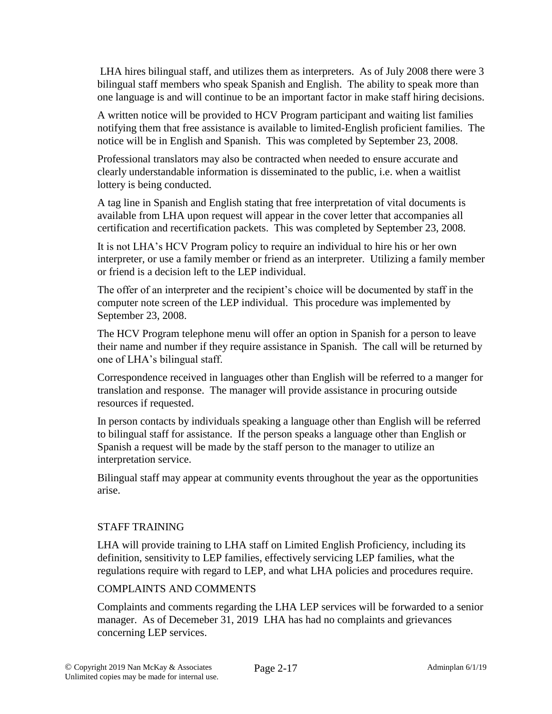LHA hires bilingual staff, and utilizes them as interpreters. As of July 2008 there were 3 bilingual staff members who speak Spanish and English. The ability to speak more than one language is and will continue to be an important factor in make staff hiring decisions.

A written notice will be provided to HCV Program participant and waiting list families notifying them that free assistance is available to limited-English proficient families. The notice will be in English and Spanish. This was completed by September 23, 2008.

Professional translators may also be contracted when needed to ensure accurate and clearly understandable information is disseminated to the public, i.e. when a waitlist lottery is being conducted.

A tag line in Spanish and English stating that free interpretation of vital documents is available from LHA upon request will appear in the cover letter that accompanies all certification and recertification packets. This was completed by September 23, 2008.

It is not LHA's HCV Program policy to require an individual to hire his or her own interpreter, or use a family member or friend as an interpreter. Utilizing a family member or friend is a decision left to the LEP individual.

The offer of an interpreter and the recipient's choice will be documented by staff in the computer note screen of the LEP individual. This procedure was implemented by September 23, 2008.

The HCV Program telephone menu will offer an option in Spanish for a person to leave their name and number if they require assistance in Spanish. The call will be returned by one of LHA's bilingual staff.

Correspondence received in languages other than English will be referred to a manger for translation and response. The manager will provide assistance in procuring outside resources if requested.

In person contacts by individuals speaking a language other than English will be referred to bilingual staff for assistance. If the person speaks a language other than English or Spanish a request will be made by the staff person to the manager to utilize an interpretation service.

Bilingual staff may appear at community events throughout the year as the opportunities arise.

#### STAFF TRAINING

LHA will provide training to LHA staff on Limited English Proficiency, including its definition, sensitivity to LEP families, effectively servicing LEP families, what the regulations require with regard to LEP, and what LHA policies and procedures require.

#### COMPLAINTS AND COMMENTS

Complaints and comments regarding the LHA LEP services will be forwarded to a senior manager. As of Decemeber 31, 2019 LHA has had no complaints and grievances concerning LEP services.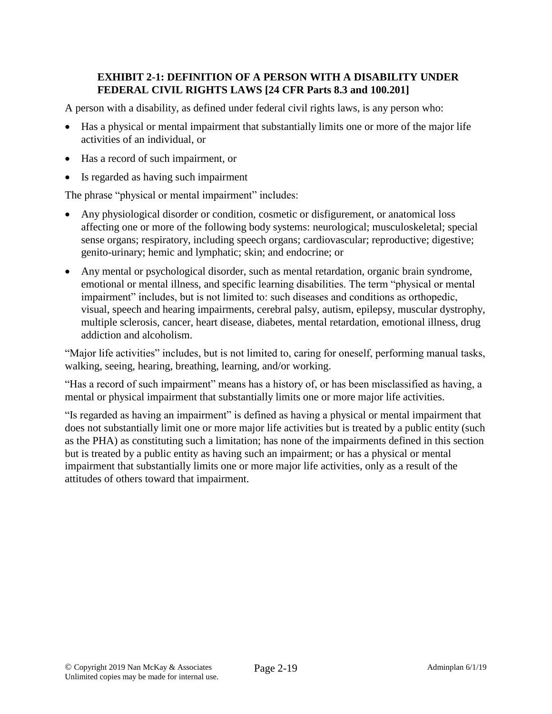## **EXHIBIT 2-1: DEFINITION OF A PERSON WITH A DISABILITY UNDER FEDERAL CIVIL RIGHTS LAWS [24 CFR Parts 8.3 and 100.201]**

A person with a disability, as defined under federal civil rights laws, is any person who:

- Has a physical or mental impairment that substantially limits one or more of the major life activities of an individual, or
- Has a record of such impairment, or
- Is regarded as having such impairment

The phrase "physical or mental impairment" includes:

- Any physiological disorder or condition, cosmetic or disfigurement, or anatomical loss affecting one or more of the following body systems: neurological; musculoskeletal; special sense organs; respiratory, including speech organs; cardiovascular; reproductive; digestive; genito-urinary; hemic and lymphatic; skin; and endocrine; or
- Any mental or psychological disorder, such as mental retardation, organic brain syndrome, emotional or mental illness, and specific learning disabilities. The term "physical or mental impairment" includes, but is not limited to: such diseases and conditions as orthopedic, visual, speech and hearing impairments, cerebral palsy, autism, epilepsy, muscular dystrophy, multiple sclerosis, cancer, heart disease, diabetes, mental retardation, emotional illness, drug addiction and alcoholism.

"Major life activities" includes, but is not limited to, caring for oneself, performing manual tasks, walking, seeing, hearing, breathing, learning, and/or working.

"Has a record of such impairment" means has a history of, or has been misclassified as having, a mental or physical impairment that substantially limits one or more major life activities.

"Is regarded as having an impairment" is defined as having a physical or mental impairment that does not substantially limit one or more major life activities but is treated by a public entity (such as the PHA) as constituting such a limitation; has none of the impairments defined in this section but is treated by a public entity as having such an impairment; or has a physical or mental impairment that substantially limits one or more major life activities, only as a result of the attitudes of others toward that impairment.